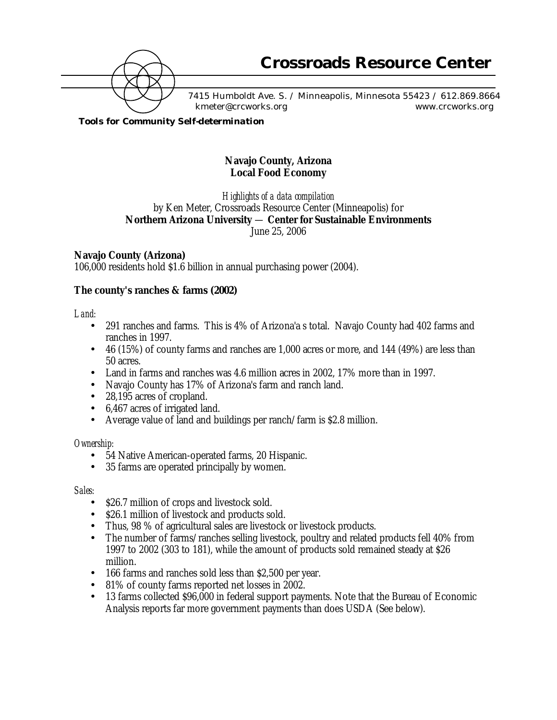

7415 Humboldt Ave. S. / Minneapolis, Minnesota 55423 / 612.869.8664 kmeter@crcworks.org www.crcworks.org

*Tools for Community Self-determination*

## **Navajo County, Arizona Local Food Economy**

*Highlights of a data compilation* by Ken Meter, Crossroads Resource Center (Minneapolis) for **Northern Arizona University** — **Center for Sustainable Environments** June 25, 2006

## **Navajo County (Arizona)**

106,000 residents hold \$1.6 billion in annual purchasing power (2004).

## **The county's ranches & farms (2002)**

#### *Land:*

- 291 ranches and farms. This is 4% of Arizona'a s total. Navajo County had 402 farms and ranches in 1997.
- 46 (15%) of county farms and ranches are 1,000 acres or more, and 144 (49%) are less than 50 acres.
- Land in farms and ranches was 4.6 million acres in 2002, 17% more than in 1997.
- Navajo County has 17% of Arizona's farm and ranch land.
- 28,195 acres of cropland.
- 6,467 acres of irrigated land.
- Average value of land and buildings per ranch/farm is \$2.8 million.

#### *Ownership:*

- 54 Native American-operated farms, 20 Hispanic.
- 35 farms are operated principally by women.

#### *Sales:*

- \$26.7 million of crops and livestock sold.
- \$26.1 million of livestock and products sold.
- Thus, 98 % of agricultural sales are livestock or livestock products.
- The number of farms/ranches selling livestock, poultry and related products fell 40% from 1997 to 2002 (303 to 181), while the amount of products sold remained steady at \$26 million.
- 166 farms and ranches sold less than \$2,500 per year.
- 81% of county farms reported net losses in 2002.
- 13 farms collected \$96,000 in federal support payments. Note that the Bureau of Economic Analysis reports far more government payments than does USDA (See below).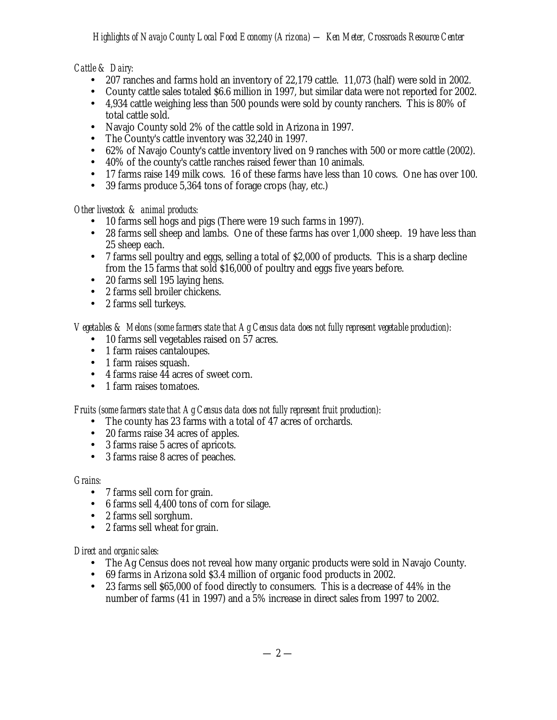# *Cattle & Dairy:*

- 207 ranches and farms hold an inventory of 22,179 cattle. 11,073 (half) were sold in 2002.
- County cattle sales totaled \$6.6 million in 1997, but similar data were not reported for 2002.
- 4,934 cattle weighing less than 500 pounds were sold by county ranchers. This is 80% of total cattle sold.
- Navajo County sold 2% of the cattle sold in Arizona in 1997.<br>• The County's cattle inventory was 32 240 in 1997
- The County's cattle inventory was  $32,240$  in 1997.
- 62% of Navajo County's cattle inventory lived on 9 ranches with 500 or more cattle (2002).
- 40% of the county's cattle ranches raised fewer than 10 animals.
- 17 farms raise 149 milk cows. 16 of these farms have less than 10 cows. One has over 100.
- 39 farms produce 5,364 tons of forage crops (hay, etc.)

*Other livestock & animal products:*

- 10 farms sell hogs and pigs (There were 19 such farms in 1997).
- 28 farms sell sheep and lambs. One of these farms has over 1,000 sheep. 19 have less than 25 sheep each.
- 7 farms sell poultry and eggs, selling a total of \$2,000 of products. This is a sharp decline from the 15 farms that sold \$16,000 of poultry and eggs five years before.
- 20 farms sell 195 laying hens.
- 2 farms sell broiler chickens.
- 2 farms sell turkeys.

*Vegetables & Melons (some farmers state that Ag Census data does not fully represent vegetable production):*

- 10 farms sell vegetables raised on 57 acres.
- 1 farm raises cantaloupes.
- 1 farm raises squash.
- 4 farms raise 44 acres of sweet corn.
- 1 farm raises tomatoes.

## *Fruits (some farmers state that Ag Census data does not fully represent fruit production):*

- The county has 23 farms with a total of 47 acres of orchards.
- 20 farms raise 34 acres of apples.
- 3 farms raise 5 acres of apricots.
- 3 farms raise 8 acres of peaches.

## *Grains:*

- 7 farms sell corn for grain.
- 6 farms sell 4,400 tons of corn for silage.
- 2 farms sell sorghum.
- 2 farms sell wheat for grain.

## *Direct and organic sales:*

- The Ag Census does not reveal how many organic products were sold in Navajo County.
- 69 farms in Arizona sold \$3.4 million of organic food products in 2002.
- 23 farms sell \$65,000 of food directly to consumers. This is a decrease of 44% in the number of farms (41 in 1997) and a 5% increase in direct sales from 1997 to 2002.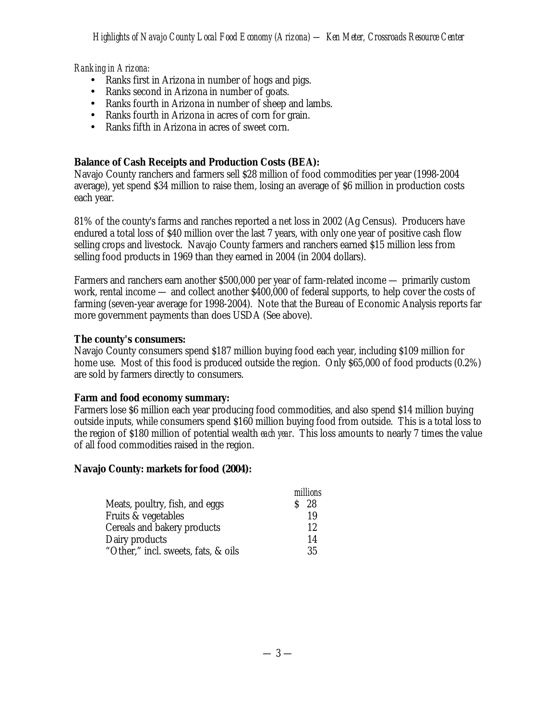#### *Ranking in Arizona:*

- Ranks first in Arizona in number of hogs and pigs.
- Ranks second in Arizona in number of goats.
- Ranks fourth in Arizona in number of sheep and lambs.
- Ranks fourth in Arizona in acres of corn for grain.
- Ranks fifth in Arizona in acres of sweet corn.

## **Balance of Cash Receipts and Production Costs (BEA):**

Navajo County ranchers and farmers sell \$28 million of food commodities per year (1998-2004 average), yet spend \$34 million to raise them, losing an average of \$6 million in production costs each year.

81% of the county's farms and ranches reported a net loss in 2002 (Ag Census). Producers have endured a total loss of \$40 million over the last 7 years, with only one year of positive cash flow selling crops and livestock. Navajo County farmers and ranchers earned \$15 million less from selling food products in 1969 than they earned in 2004 (in 2004 dollars).

Farmers and ranchers earn another \$500,000 per year of farm-related income — primarily custom work, rental income — and collect another \$400,000 of federal supports, to help cover the costs of farming (seven-year average for 1998-2004). Note that the Bureau of Economic Analysis reports far more government payments than does USDA (See above).

#### **The county's consumers:**

Navajo County consumers spend \$187 million buying food each year, including \$109 million for home use. Most of this food is produced outside the region. Only \$65,000 of food products (0.2%) are sold by farmers directly to consumers.

#### **Farm and food economy summary:**

Farmers lose \$6 million each year producing food commodities, and also spend \$14 million buying outside inputs, while consumers spend \$160 million buying food from outside. This is a total loss to the region of \$180 million of potential wealth *each year*. This loss amounts to nearly 7 times the value of all food commodities raised in the region.

#### **Navajo County: markets for food (2004):**

|                                     | millions |
|-------------------------------------|----------|
| Meats, poultry, fish, and eggs      | 28       |
| Fruits & vegetables                 | 19       |
| Cereals and bakery products         | 12       |
| Dairy products                      | 14       |
| "Other," incl. sweets, fats, & oils | 35       |